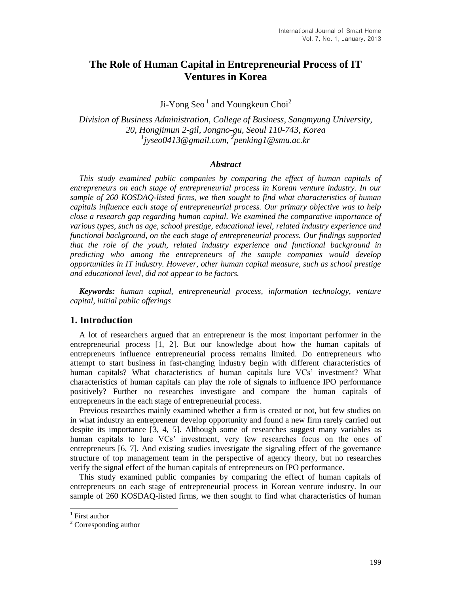# **The Role of Human Capital in Entrepreneurial Process of IT Ventures in Korea**

Ji-Yong Seo $^1$  and Youngkeun Choi<sup>2</sup>

*Division of Business Administration, College of Business, Sangmyung University, 20, Hongjimun 2-gil, Jongno-gu, Seoul 110-743, Korea 1 [jyseo0413@gmail.com,](mailto:jyseo0413@gmail.com) 2 penking1@smu.ac.kr*

#### *Abstract*

*This study examined public companies by comparing the effect of human capitals of entrepreneurs on each stage of entrepreneurial process in Korean venture industry. In our sample of 260 KOSDAQ-listed firms, we then sought to find what characteristics of human capitals influence each stage of entrepreneurial process. Our primary objective was to help close a research gap regarding human capital. We examined the comparative importance of various types, such as age, school prestige, educational level, related industry experience and functional background, on the each stage of entrepreneurial process. Our findings supported that the role of the youth, related industry experience and functional background in predicting who among the entrepreneurs of the sample companies would develop opportunities in IT industry. However, other human capital measure, such as school prestige and educational level, did not appear to be factors.*

*Keywords: human capital, entrepreneurial process, information technology, venture capital, initial public offerings*

## **1. Introduction**

A lot of researchers argued that an entrepreneur is the most important performer in the entrepreneurial process [1, 2]. But our knowledge about how the human capitals of entrepreneurs influence entrepreneurial process remains limited. Do entrepreneurs who attempt to start business in fast-changing industry begin with different characteristics of human capitals? What characteristics of human capitals lure VCs' investment? What characteristics of human capitals can play the role of signals to influence IPO performance positively? Further no researches investigate and compare the human capitals of entrepreneurs in the each stage of entrepreneurial process.

Previous researches mainly examined whether a firm is created or not, but few studies on in what industry an entrepreneur develop opportunity and found a new firm rarely carried out despite its importance [3, 4, 5]. Although some of researches suggest many variables as human capitals to lure VCs' investment, very few researches focus on the ones of entrepreneurs [6, 7]. And existing studies investigate the signaling effect of the governance structure of top management team in the perspective of agency theory, but no researches verify the signal effect of the human capitals of entrepreneurs on IPO performance.

This study examined public companies by comparing the effect of human capitals of entrepreneurs on each stage of entrepreneurial process in Korean venture industry. In our sample of 260 KOSDAQ-listed firms, we then sought to find what characteristics of human

 1 First author

<sup>&</sup>lt;sup>2</sup> Corresponding author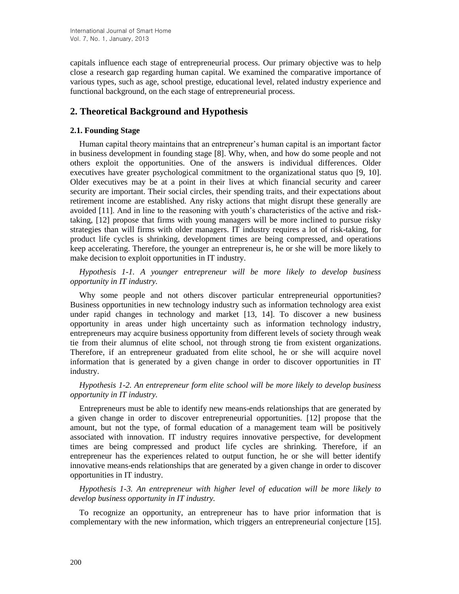capitals influence each stage of entrepreneurial process. Our primary objective was to help close a research gap regarding human capital. We examined the comparative importance of various types, such as age, school prestige, educational level, related industry experience and functional background, on the each stage of entrepreneurial process.

# **2. Theoretical Background and Hypothesis**

## **2.1. Founding Stage**

Human capital theory maintains that an entrepreneur's human capital is an important factor in business development in founding stage [8]. Why, when, and how do some people and not others exploit the opportunities. One of the answers is individual differences. Older executives have greater psychological commitment to the organizational status quo [9, 10]. Older executives may be at a point in their lives at which financial security and career security are important. Their social circles, their spending traits, and their expectations about retirement income are established. Any risky actions that might disrupt these generally are avoided [11]. And in line to the reasoning with youth's characteristics of the active and risktaking, [12] propose that firms with young managers will be more inclined to pursue risky strategies than will firms with older managers. IT industry requires a lot of risk-taking, for product life cycles is shrinking, development times are being compressed, and operations keep accelerating. Therefore, the younger an entrepreneur is, he or she will be more likely to make decision to exploit opportunities in IT industry.

*Hypothesis 1-1. A younger entrepreneur will be more likely to develop business opportunity in IT industry.*

Why some people and not others discover particular entrepreneurial opportunities? Business opportunities in new technology industry such as information technology area exist under rapid changes in technology and market [13, 14]. To discover a new business opportunity in areas under high uncertainty such as information technology industry, entrepreneurs may acquire business opportunity from different levels of society through weak tie from their alumnus of elite school, not through strong tie from existent organizations. Therefore, if an entrepreneur graduated from elite school, he or she will acquire novel information that is generated by a given change in order to discover opportunities in IT industry.

*Hypothesis 1-2. An entrepreneur form elite school will be more likely to develop business opportunity in IT industry.*

Entrepreneurs must be able to identify new means-ends relationships that are generated by a given change in order to discover entrepreneurial opportunities. [12] propose that the amount, but not the type, of formal education of a management team will be positively associated with innovation. IT industry requires innovative perspective, for development times are being compressed and product life cycles are shrinking. Therefore, if an entrepreneur has the experiences related to output function, he or she will better identify innovative means-ends relationships that are generated by a given change in order to discover opportunities in IT industry.

*Hypothesis 1-3. An entrepreneur with higher level of education will be more likely to develop business opportunity in IT industry.*

To recognize an opportunity, an entrepreneur has to have prior information that is complementary with the new information, which triggers an entrepreneurial conjecture [15].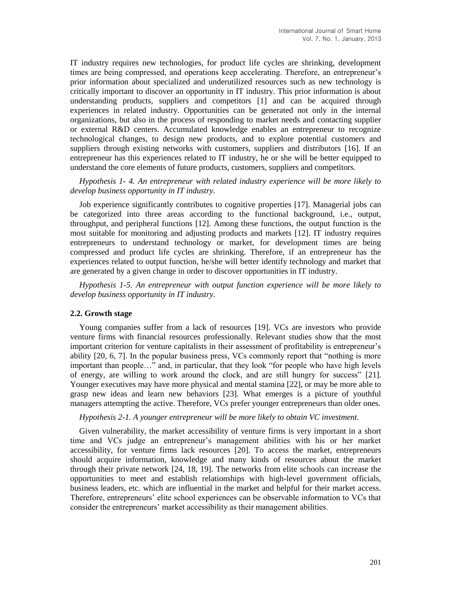IT industry requires new technologies, for product life cycles are shrinking, development times are being compressed, and operations keep accelerating. Therefore, an entrepreneur's prior information about specialized and underutilized resources such as new technology is critically important to discover an opportunity in IT industry. This prior information is about understanding products, suppliers and competitors [1] and can be acquired through experiences in related industry. Opportunities can be generated not only in the internal organizations, but also in the process of responding to market needs and contacting supplier or external R&D centers. Accumulated knowledge enables an entrepreneur to recognize technological changes, to design new products, and to explore potential customers and suppliers through existing networks with customers, suppliers and distributors [16]. If an entrepreneur has this experiences related to IT industry, he or she will be better equipped to understand the core elements of future products, customers, suppliers and competitors.

*Hypothesis 1- 4. An entrepreneur with related industry experience will be more likely to develop business opportunity in IT industry.*

Job experience significantly contributes to cognitive properties [17]. Managerial jobs can be categorized into three areas according to the functional background, i.e., output, throughput, and peripheral functions [12]. Among these functions, the output function is the most suitable for monitoring and adjusting products and markets [12]. IT industry requires entrepreneurs to understand technology or market, for development times are being compressed and product life cycles are shrinking. Therefore, if an entrepreneur has the experiences related to output function, he/she will better identify technology and market that are generated by a given change in order to discover opportunities in IT industry.

*Hypothesis 1-5. An entrepreneur with output function experience will be more likely to develop business opportunity in IT industry.*

## **2.2. Growth stage**

Young companies suffer from a lack of resources [19]. VCs are investors who provide venture firms with financial resources professionally. Relevant studies show that the most important criterion for venture capitalists in their assessment of profitability is entrepreneur's ability [20, 6, 7]. In the popular business press, VCs commonly report that "nothing is more important than people…" and, in particular, that they look "for people who have high levels of energy, are willing to work around the clock, and are still hungry for success" [21]. Younger executives may have more physical and mental stamina [22], or may be more able to grasp new ideas and learn new behaviors [23]. What emerges is a picture of youthful managers attempting the active. Therefore, VCs prefer younger entrepreneurs than older ones.

*Hypothesis 2-1. A younger entrepreneur will be more likely to obtain VC investment.* 

Given vulnerability, the market accessibility of venture firms is very important in a short time and VCs judge an entrepreneur's management abilities with his or her market accessibility, for venture firms lack resources [20]. To access the market, entrepreneurs should acquire information, knowledge and many kinds of resources about the market through their private network [24, 18, 19]. The networks from elite schools can increase the opportunities to meet and establish relationships with high-level government officials, business leaders, etc. which are influential in the market and helpful for their market access. Therefore, entrepreneurs' elite school experiences can be observable information to VCs that consider the entrepreneurs' market accessibility as their management abilities.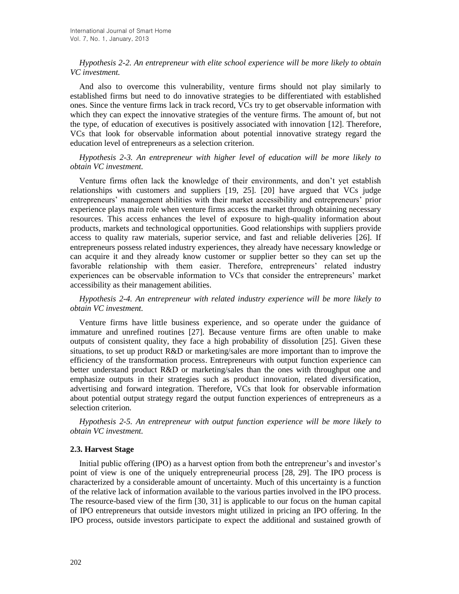# *Hypothesis 2-2. An entrepreneur with elite school experience will be more likely to obtain VC investment.*

And also to overcome this vulnerability, venture firms should not play similarly to established firms but need to do innovative strategies to be differentiated with established ones. Since the venture firms lack in track record, VCs try to get observable information with which they can expect the innovative strategies of the venture firms. The amount of, but not the type, of education of executives is positively associated with innovation [12]. Therefore, VCs that look for observable information about potential innovative strategy regard the education level of entrepreneurs as a selection criterion.

*Hypothesis 2-3. An entrepreneur with higher level of education will be more likely to obtain VC investment.* 

Venture firms often lack the knowledge of their environments, and don't yet establish relationships with customers and suppliers [19, 25]. [20] have argued that VCs judge entrepreneurs' management abilities with their market accessibility and entrepreneurs' prior experience plays main role when venture firms access the market through obtaining necessary resources. This access enhances the level of exposure to high-quality information about products, markets and technological opportunities. Good relationships with suppliers provide access to quality raw materials, superior service, and fast and reliable deliveries [26]. If entrepreneurs possess related industry experiences, they already have necessary knowledge or can acquire it and they already know customer or supplier better so they can set up the favorable relationship with them easier. Therefore, entrepreneurs' related industry experiences can be observable information to VCs that consider the entrepreneurs' market accessibility as their management abilities.

*Hypothesis 2-4. An entrepreneur with related industry experience will be more likely to obtain VC investment.* 

Venture firms have little business experience, and so operate under the guidance of immature and unrefined routines [27]. Because venture firms are often unable to make outputs of consistent quality, they face a high probability of dissolution [25]. Given these situations, to set up product R&D or marketing/sales are more important than to improve the efficiency of the transformation process. Entrepreneurs with output function experience can better understand product R&D or marketing/sales than the ones with throughput one and emphasize outputs in their strategies such as product innovation, related diversification, advertising and forward integration. Therefore, VCs that look for observable information about potential output strategy regard the output function experiences of entrepreneurs as a selection criterion.

*Hypothesis 2-5. An entrepreneur with output function experience will be more likely to obtain VC investment.* 

## **2.3. Harvest Stage**

Initial public offering (IPO) as a harvest option from both the entrepreneur's and investor's point of view is one of the uniquely entrepreneurial process [28, 29]. The IPO process is characterized by a considerable amount of uncertainty. Much of this uncertainty is a function of the relative lack of information available to the various parties involved in the IPO process. The resource-based view of the firm [30, 31] is applicable to our focus on the human capital of IPO entrepreneurs that outside investors might utilized in pricing an IPO offering. In the IPO process, outside investors participate to expect the additional and sustained growth of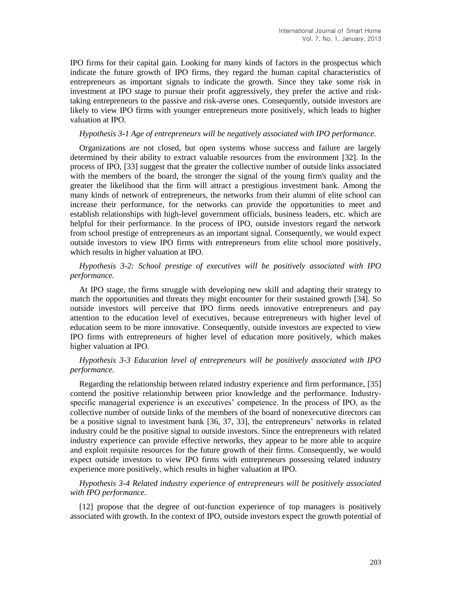IPO firms for their capital gain. Looking for many kinds of factors in the prospectus which indicate the future growth of IPO firms, they regard the human capital characteristics of entrepreneurs as important signals to indicate the growth. Since they take some risk in investment at IPO stage to pursue their profit aggressively, they prefer the active and risktaking entrepreneurs to the passive and risk-averse ones. Consequently, outside investors are likely to view IPO firms with younger entrepreneurs more positively, which leads to higher valuation at IPO.

## *Hypothesis 3-1 Age of entrepreneurs will be negatively associated with IPO performance.*

Organizations are not closed, but open systems whose success and failure are largely determined by their ability to extract valuable resources from the environment [32]. In the process of IPO, [33] suggest that the greater the collective number of outside links associated with the members of the board, the stronger the signal of the young firm's quality and the greater the likelihood that the firm will attract a prestigious investment bank. Among the many kinds of network of entrepreneurs, the networks from their alumni of elite school can increase their performance, for the networks can provide the opportunities to meet and establish relationships with high-level government officials, business leaders, etc. which are helpful for their performance. In the process of IPO, outside investors regard the network from school prestige of entrepreneurs as an important signal. Consequently, we would expect outside investors to view IPO firms with entrepreneurs from elite school more positively, which results in higher valuation at IPO.

# *Hypothesis 3-2: School prestige of executives will be positively associated with IPO performance.*

At IPO stage, the firms struggle with developing new skill and adapting their strategy to match the opportunities and threats they might encounter for their sustained growth [34]. So outside investors will perceive that IPO firms needs innovative entrepreneurs and pay attention to the education level of executives, because entrepreneurs with higher level of education seem to be more innovative. Consequently, outside investors are expected to view IPO firms with entrepreneurs of higher level of education more positively, which makes higher valuation at IPO.

## *Hypothesis 3-3 Education level of entrepreneurs will be positively associated with IPO performance.*

Regarding the relationship between related industry experience and firm performance, [35] contend the positive relationship between prior knowledge and the performance. Industryspecific managerial experience is an executives' competence. In the process of IPO, as the collective number of outside links of the members of the board of nonexecutive directors can be a positive signal to investment bank [36, 37, 33], the entrepreneurs' networks in related industry could be the positive signal to outside investors. Since the entrepreneurs with related industry experience can provide effective networks, they appear to be more able to acquire and exploit requisite resources for the future growth of their firms. Consequently, we would expect outside investors to view IPO firms with entrepreneurs possessing related industry experience more positively, which results in higher valuation at IPO.

*Hypothesis 3-4 Related industry experience of entrepreneurs will be positively associated with IPO performance.* 

[12] propose that the degree of out-function experience of top managers is positively associated with growth. In the context of IPO, outside investors expect the growth potential of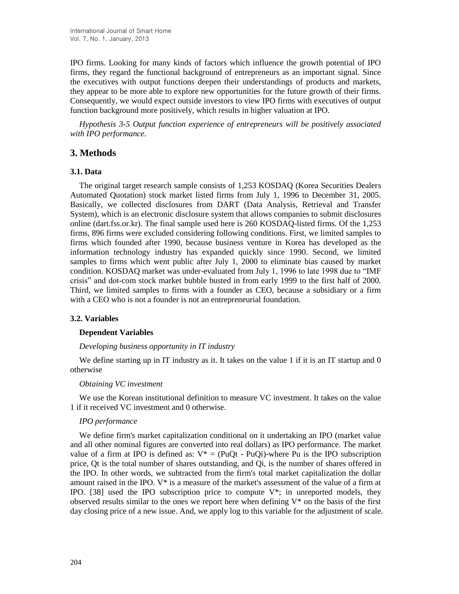IPO firms. Looking for many kinds of factors which influence the growth potential of IPO firms, they regard the functional background of entrepreneurs as an important signal. Since the executives with output functions deepen their understandings of products and markets, they appear to be more able to explore new opportunities for the future growth of their firms. Consequently, we would expect outside investors to view IPO firms with executives of output function background more positively, which results in higher valuation at IPO.

*Hypothesis 3-5 Output function experience of entrepreneurs will be positively associated with IPO performance.* 

# **3. Methods**

## **3.1. Data**

The original target research sample consists of 1,253 KOSDAQ (Korea Securities Dealers Automated Quotation) stock market listed firms from July 1, 1996 to December 31, 2005. Basically, we collected disclosures from DART (Data Analysis, Retrieval and Transfer System), which is an electronic disclosure system that allows companies to submit disclosures online (dart.fss.or.kr). The final sample used here is 260 KOSDAQ-listed firms. Of the 1,253 firms, 896 firms were excluded considering following conditions. First, we limited samples to firms which founded after 1990, because business venture in Korea has developed as the information technology industry has expanded quickly since 1990. Second, we limited samples to firms which went public after July 1, 2000 to eliminate bias caused by market condition. KOSDAQ market was under-evaluated from July 1, 1996 to late 1998 due to "IMF crisis" and dot-com stock market bubble busted in from early 1999 to the first half of 2000. Third, we limited samples to firms with a founder as CEO, because a subsidiary or a firm with a CEO who is not a founder is not an entrepreneurial foundation.

## **3.2. Variables**

## **Dependent Variables**

## *Developing business opportunity in IT industry*

We define starting up in IT industry as it. It takes on the value 1 if it is an IT startup and 0 otherwise

## *Obtaining VC investment*

We use the Korean institutional definition to measure VC investment. It takes on the value 1 if it received VC investment and 0 otherwise.

## *IPO performance*

We define firm's market capitalization conditional on it undertaking an IPO (market value and all other nominal figures are converted into real dollars) as IPO performance. The market value of a firm at IPO is defined as:  $V^* = (PuQt - PuQi)$ -where Pu is the IPO subscription price, Qt is the total number of shares outstanding, and Qi, is the number of shares offered in the IPO. In other words, we subtracted from the firm's total market capitalization the dollar amount raised in the IPO. V\* is a measure of the market's assessment of the value of a firm at IPO. [38] used the IPO subscription price to compute V\*; in unreported models, they observed results similar to the ones we report here when defining  $V^*$  on the basis of the first day closing price of a new issue. And, we apply log to this variable for the adjustment of scale.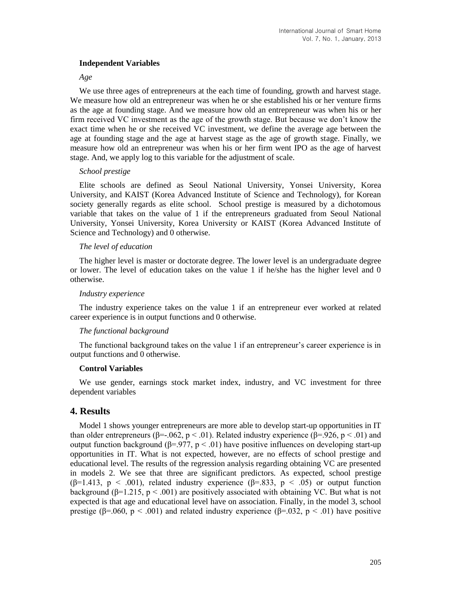## **Independent Variables**

#### *Age*

We use three ages of entrepreneurs at the each time of founding, growth and harvest stage. We measure how old an entrepreneur was when he or she established his or her venture firms as the age at founding stage. And we measure how old an entrepreneur was when his or her firm received VC investment as the age of the growth stage. But because we don't know the exact time when he or she received VC investment, we define the average age between the age at founding stage and the age at harvest stage as the age of growth stage. Finally, we measure how old an entrepreneur was when his or her firm went IPO as the age of harvest stage. And, we apply log to this variable for the adjustment of scale.

## *School prestige*

Elite schools are defined as Seoul National University, Yonsei University, Korea University, and KAIST (Korea Advanced Institute of Science and Technology), for Korean society generally regards as elite school. School prestige is measured by a dichotomous variable that takes on the value of 1 if the entrepreneurs graduated from Seoul National University, Yonsei University, Korea University or KAIST (Korea Advanced Institute of Science and Technology) and 0 otherwise.

## *The level of education*

The higher level is master or doctorate degree. The lower level is an undergraduate degree or lower. The level of education takes on the value 1 if he/she has the higher level and 0 otherwise.

#### *Industry experience*

The industry experience takes on the value 1 if an entrepreneur ever worked at related career experience is in output functions and 0 otherwise.

## *The functional background*

The functional background takes on the value 1 if an entrepreneur's career experience is in output functions and 0 otherwise.

#### **Control Variables**

We use gender, earnings stock market index, industry, and VC investment for three dependent variables

# **4. Results**

Model 1 shows younger entrepreneurs are more able to develop start-up opportunities in IT than older entrepreneurs ( $\beta$ =-.062, p < .01). Related industry experience ( $\beta$ =.926, p < .01) and output function background (β=.977,  $p < .01$ ) have positive influences on developing start-up opportunities in IT. What is not expected, however, are no effects of school prestige and educational level. The results of the regression analysis regarding obtaining VC are presented in models 2. We see that three are significant predictors. As expected, school prestige ( $\beta$ =1.413, p < .001), related industry experience ( $\beta$ =.833, p < .05) or output function background ( $\beta$ =1.215, p < .001) are positively associated with obtaining VC. But what is not expected is that age and educational level have on association. Finally, in the model 3, school prestige ( $\beta$ =.060,  $p < .001$ ) and related industry experience ( $\beta$ =.032,  $p < .01$ ) have positive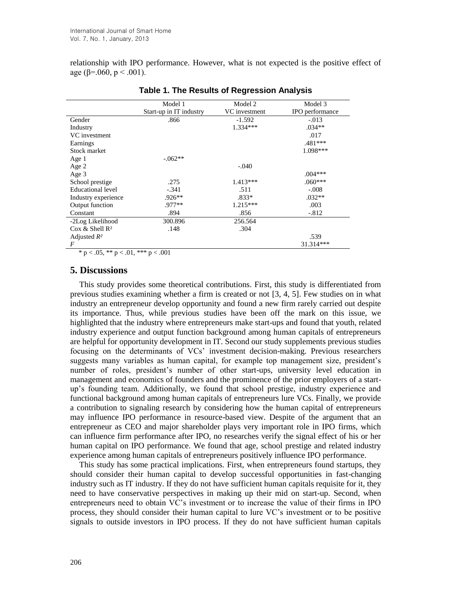relationship with IPO performance. However, what is not expected is the positive effect of age ( $\beta$ =.060, p < .001).

|                                | Model 1                 | Model 2       | Model 3         |
|--------------------------------|-------------------------|---------------|-----------------|
|                                | Start-up in IT industry | VC investment | IPO performance |
| Gender                         | .866                    | $-1.592$      | $-.013$         |
| Industry                       |                         | $1.334***$    | $.034**$        |
| VC investment                  |                         |               | .017            |
| Earnings                       |                         |               | $.481***$       |
| Stock market                   |                         |               | 1.098***        |
| Age 1                          | $-.062**$               |               |                 |
| Age 2                          |                         | $-.040$       |                 |
| Age 3                          |                         |               | $.004***$       |
| School prestige                | .275                    | $1.413***$    | $.060***$       |
| Educational level              | $-.341$                 | .511          | $-.008$         |
| Industry experience            | $.926**$                | $.833*$       | $.032**$        |
| Output function                | .977**                  | $1.215***$    | .003            |
| Constant                       | .894                    | .856          | $-.812$         |
| -2Log Likelihood               | 300.896                 | 256.564       |                 |
| $\cos \&$ Shell R <sup>2</sup> | .148                    | .304          |                 |
| Adjusted $R^2$                 |                         |               | .539            |
| F                              |                         |               | 31.314***       |

#### **Table 1. The Results of Regression Analysis**

\* p < .05, \*\* p < .01, \*\*\* p < .001

## **5. Discussions**

This study provides some theoretical contributions. First, this study is differentiated from previous studies examining whether a firm is created or not [3, 4, 5]. Few studies on in what industry an entrepreneur develop opportunity and found a new firm rarely carried out despite its importance. Thus, while previous studies have been off the mark on this issue, we highlighted that the industry where entrepreneurs make start-ups and found that youth, related industry experience and output function background among human capitals of entrepreneurs are helpful for opportunity development in IT. Second our study supplements previous studies focusing on the determinants of VCs' investment decision-making. Previous researchers suggests many variables as human capital, for example top management size, president's number of roles, president's number of other start-ups, university level education in management and economics of founders and the prominence of the prior employers of a startup's founding team. Additionally, we found that school prestige, industry experience and functional background among human capitals of entrepreneurs lure VCs. Finally, we provide a contribution to signaling research by considering how the human capital of entrepreneurs may influence IPO performance in resource-based view. Despite of the argument that an entrepreneur as CEO and major shareholder plays very important role in IPO firms, which can influence firm performance after IPO, no researches verify the signal effect of his or her human capital on IPO performance. We found that age, school prestige and related industry experience among human capitals of entrepreneurs positively influence IPO performance.

This study has some practical implications. First, when entrepreneurs found startups, they should consider their human capital to develop successful opportunities in fast-changing industry such as IT industry. If they do not have sufficient human capitals requisite for it, they need to have conservative perspectives in making up their mid on start-up. Second, when entrepreneurs need to obtain VC's investment or to increase the value of their firms in IPO process, they should consider their human capital to lure VC's investment or to be positive signals to outside investors in IPO process. If they do not have sufficient human capitals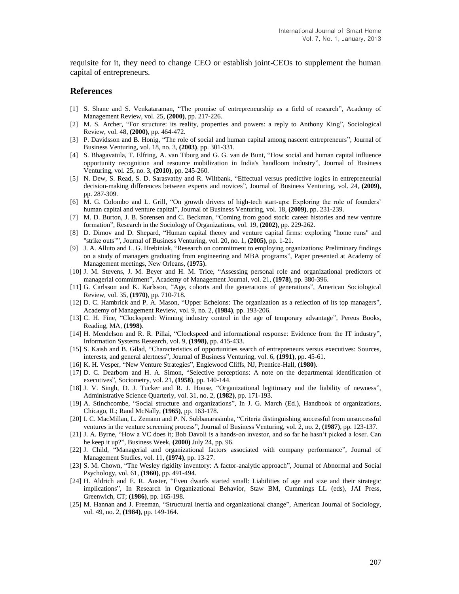requisite for it, they need to change CEO or establish joint-CEOs to supplement the human capital of entrepreneurs.

#### **References**

- [1] S. Shane and S. Venkataraman, "The promise of entrepreneurship as a field of research", Academy of Management Review, vol. 25, **(2000)**, pp. 217-226.
- [2] M. S. Archer, "For structure: its reality, properties and powers: a reply to Anthony King", Sociological Review, vol. 48, **(2000)**, pp. 464-472.
- [3] P. Davidsson and B. Honig, "The role of social and human capital among nascent entrepreneurs", Journal of Business Venturing, vol. 18, no. 3, **(2003)**, pp. 301-331.
- [4] S. Bhagavatula, T. Elfring, A. van Tiburg and G. G. van de Bunt, "How social and human capital influence opportunity recognition and resource mobilization in India's handloom industry", Journal of Business Venturing, vol. 25, no. 3, **(2010)**, pp. 245-260.
- [5] N. Dew, S. Read, S. D. Sarasvathy and R. Wiltbank, "Effectual versus predictive logics in entrepreneurial decision-making differences between experts and novices", Journal of Business Venturing, vol. 24, **(2009)**, pp. 287-309.
- [6] M. G. Colombo and L. Grill, "On growth drivers of high-tech start-ups: Exploring the role of founders' human capital and venture capital", Journal of Business Venturing, vol. 18, **(2009)**, pp. 231-239.
- [7] M. D. Burton, J. B. Sorensen and C. Beckman, "Coming from good stock: career histories and new venture formation", Research in the Sociology of Organizations, vol. 19, **(2002)**, pp. 229-262.
- [8] D. Dimov and D. Shepard, "Human capital theory and venture capital firms: exploring "home runs" and "strike outs"", Journal of Business Venturing, vol. 20, no. 1, **(2005)**, pp. 1-21.
- [9] J. A. Alluto and L. G. Hrebiniak, "Research on commitment to employing organizations: Preliminary findings on a study of managers graduating from engineering and MBA programs", Paper presented at Academy of Management meetings, New Orleans, **(1975)**.
- [10] J. M. Stevens, J. M. Beyer and H. M. Trice, "Assessing personal role and organizational predictors of managerial commitment", Academy of Management Journal, vol. 21, **(1978)**, pp. 380-396.
- [11] G. Carlsson and K. Karlsson, "Age, cohorts and the generations of generations", American Sociological Review, vol. 35, **(1970)**, pp. 710-718.
- [12] D. C. Hambrick and P. A. Mason, "Upper Echelons: The organization as a reflection of its top managers", Academy of Management Review, vol. 9, no. 2, **(1984)**, pp. 193-206.
- [13] C. H. Fine, "Clockspeed: Winning industry control in the age of temporary advantage", Pereus Books, Reading, MA, **(1998)**.
- [14] H. Mendelson and R. R. Pillai, "Clockspeed and informational response: Evidence from the IT industry", Information Systems Research, vol. 9, **(1998)**, pp. 415-433.
- [15] S. Kaish and B. Gilad, "Characteristics of opportunities search of entrepreneurs versus executives: Sources, interests, and general alertness", Journal of Business Venturing, vol. 6, **(1991)**, pp. 45-61.
- [16] K. H. Vesper, "New Venture Strategies", Englewood Cliffs, NJ, Prentice-Hall, **(1980)**.
- [17] D. C. Dearborn and H. A. Simon, "Selective perceptions: A note on the departmental identification of executives", Sociometry, vol. 21, **(1958)**, pp. 140-144.
- [18] J. V. Singh, D. J. Tucker and R. J. House, "Organizational legitimacy and the liability of newness", Administrative Science Quarterly, vol. 31, no. 2, **(1982)**, pp. 171-193.
- [19] A. Stinchcombe, "Social structure and organizations", In J. G. March (Ed.), Handbook of organizations, Chicago, IL; Rand McNally, **(1965)**, pp. 163-178.
- [20] I. C. MacMillan, L. Zemann and P. N. Subbanarasimha, "Criteria distinguishing successful from unsuccessful ventures in the venture screening process", Journal of Business Venturing, vol. 2, no. 2, **(1987)**, pp. 123-137.
- [21] J. A. Byrne, "How a VC does it; Bob Davoli is a hands-on investor, and so far he hasn't picked a loser. Can he keep it up?", Business Week, **(2000)** July 24, pp. 96.
- [22] J. Child, "Managerial and organizational factors associated with company performance", Journal of Management Studies, vol. 11, **(1974)**, pp. 13-27.
- [23] S. M. Chown, "The Wesley rigidity inventory: A factor-analytic approach", Journal of Abnormal and Social Psychology, vol. 61, **(1960)**, pp. 491-494.
- [24] H. Aldrich and E. R. Auster, "Even dwarfs started small: Liabilities of age and size and their strategic implications", In Research in Organizational Behavior, Staw BM, Cummings LL (eds), JAI Press, Greenwich, CT; **(1986)**, pp. 165-198.
- [25] M. Hannan and J. Freeman, "Structural inertia and organizational change", American Journal of Sociology, vol. 49, no. 2, **(1984)**, pp. 149-164.